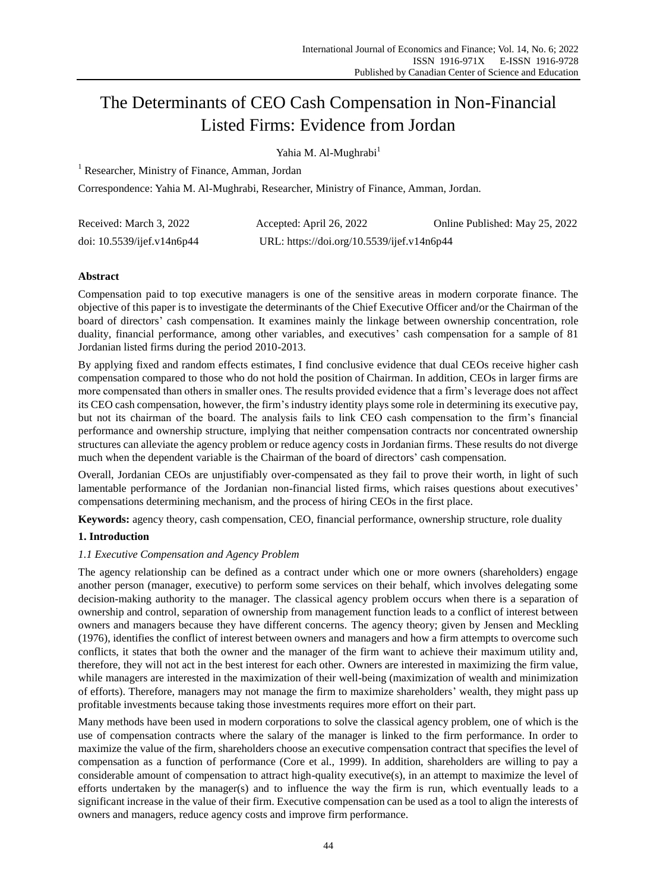# The Determinants of CEO Cash Compensation in Non-Financial Listed Firms: Evidence from Jordan

Yahia M. Al-Mughrabi<sup>1</sup>

<sup>1</sup> Researcher, Ministry of Finance, Amman, Jordan

Correspondence: Yahia M. Al-Mughrabi, Researcher, Ministry of Finance, Amman, Jordan.

| Received: March 3, 2022    | Accepted: April 26, 2022                   | Online Published: May 25, 2022 |
|----------------------------|--------------------------------------------|--------------------------------|
| doi: 10.5539/ijef.v14n6p44 | URL: https://doi.org/10.5539/ijef.v14n6p44 |                                |

# **Abstract**

Compensation paid to top executive managers is one of the sensitive areas in modern corporate finance. The objective of this paper is to investigate the determinants of the Chief Executive Officer and/or the Chairman of the board of directors' cash compensation. It examines mainly the linkage between ownership concentration, role duality, financial performance, among other variables, and executives' cash compensation for a sample of 81 Jordanian listed firms during the period 2010-2013.

By applying fixed and random effects estimates, I find conclusive evidence that dual CEOs receive higher cash compensation compared to those who do not hold the position of Chairman. In addition, CEOs in larger firms are more compensated than others in smaller ones. The results provided evidence that a firm's leverage does not affect its CEO cash compensation, however, the firm's industry identity plays some role in determining its executive pay, but not its chairman of the board. The analysis fails to link CEO cash compensation to the firm's financial performance and ownership structure, implying that neither compensation contracts nor concentrated ownership structures can alleviate the agency problem or reduce agency costs in Jordanian firms. These results do not diverge much when the dependent variable is the Chairman of the board of directors' cash compensation.

Overall, Jordanian CEOs are unjustifiably over-compensated as they fail to prove their worth, in light of such lamentable performance of the Jordanian non-financial listed firms, which raises questions about executives' compensations determining mechanism, and the process of hiring CEOs in the first place.

**Keywords:** agency theory, cash compensation, CEO, financial performance, ownership structure, role duality

# **1. Introduction**

# *1.1 Executive Compensation and Agency Problem*

The agency relationship can be defined as a contract under which one or more owners (shareholders) engage another person (manager, executive) to perform some services on their behalf, which involves delegating some decision-making authority to the manager. The classical agency problem occurs when there is a separation of ownership and control, separation of ownership from management function leads to a conflict of interest between owners and managers because they have different concerns. The agency theory; given by Jensen and Meckling (1976), identifies the conflict of interest between owners and managers and how a firm attempts to overcome such conflicts, it states that both the owner and the manager of the firm want to achieve their maximum utility and, therefore, they will not act in the best interest for each other. Owners are interested in maximizing the firm value, while managers are interested in the maximization of their well-being (maximization of wealth and minimization of efforts). Therefore, managers may not manage the firm to maximize shareholders' wealth, they might pass up profitable investments because taking those investments requires more effort on their part.

Many methods have been used in modern corporations to solve the classical agency problem, one of which is the use of compensation contracts where the salary of the manager is linked to the firm performance. In order to maximize the value of the firm, shareholders choose an executive compensation contract that specifies the level of compensation as a function of performance (Core et al., 1999). In addition, shareholders are willing to pay a considerable amount of compensation to attract high-quality executive(s), in an attempt to maximize the level of efforts undertaken by the manager(s) and to influence the way the firm is run, which eventually leads to a significant increase in the value of their firm. Executive compensation can be used as a tool to align the interests of owners and managers, reduce agency costs and improve firm performance.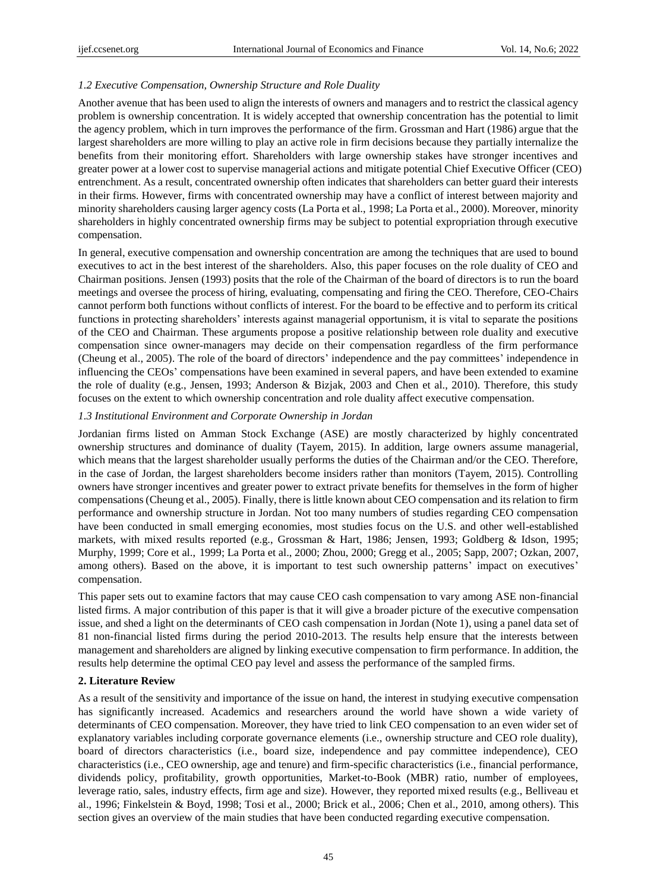# *1.2 Executive Compensation, Ownership Structure and Role Duality*

Another avenue that has been used to align the interests of owners and managers and to restrict the classical agency problem is ownership concentration. It is widely accepted that ownership concentration has the potential to limit the agency problem, which in turn improves the performance of the firm. Grossman and Hart (1986) argue that the largest shareholders are more willing to play an active role in firm decisions because they partially internalize the benefits from their monitoring effort. Shareholders with large ownership stakes have stronger incentives and greater power at a lower cost to supervise managerial actions and mitigate potential Chief Executive Officer (CEO) entrenchment. As a result, concentrated ownership often indicates that shareholders can better guard their interests in their firms. However, firms with concentrated ownership may have a conflict of interest between majority and minority shareholders causing larger agency costs (La Porta et al., 1998; La Porta et al., 2000). Moreover, minority shareholders in highly concentrated ownership firms may be subject to potential expropriation through executive compensation.

In general, executive compensation and ownership concentration are among the techniques that are used to bound executives to act in the best interest of the shareholders. Also, this paper focuses on the role duality of CEO and Chairman positions. Jensen (1993) posits that the role of the Chairman of the board of directors is to run the board meetings and oversee the process of hiring, evaluating, compensating and firing the CEO. Therefore, CEO-Chairs cannot perform both functions without conflicts of interest. For the board to be effective and to perform its critical functions in protecting shareholders' interests against managerial opportunism, it is vital to separate the positions of the CEO and Chairman. These arguments propose a positive relationship between role duality and executive compensation since owner-managers may decide on their compensation regardless of the firm performance (Cheung et al., 2005). The role of the board of directors' independence and the pay committees' independence in influencing the CEOs' compensations have been examined in several papers, and have been extended to examine the role of duality (e.g., Jensen, 1993; Anderson & Bizjak, 2003 and Chen et al., 2010). Therefore, this study focuses on the extent to which ownership concentration and role duality affect executive compensation.

# *1.3 Institutional Environment and Corporate Ownership in Jordan*

Jordanian firms listed on Amman Stock Exchange (ASE) are mostly characterized by highly concentrated ownership structures and dominance of duality (Tayem, 2015). In addition, large owners assume managerial, which means that the largest shareholder usually performs the duties of the Chairman and/or the CEO. Therefore, in the case of Jordan, the largest shareholders become insiders rather than monitors (Tayem, 2015). Controlling owners have stronger incentives and greater power to extract private benefits for themselves in the form of higher compensations (Cheung et al., 2005). Finally, there is little known about CEO compensation and its relation to firm performance and ownership structure in Jordan. Not too many numbers of studies regarding CEO compensation have been conducted in small emerging economies, most studies focus on the U.S. and other well-established markets, with mixed results reported (e.g., Grossman & Hart, 1986; Jensen, 1993; Goldberg & Idson, 1995; Murphy, 1999; Core et al., 1999; La Porta et al., 2000; Zhou, 2000; Gregg et al., 2005; Sapp, 2007; Ozkan, 2007, among others). Based on the above, it is important to test such ownership patterns' impact on executives' compensation.

This paper sets out to examine factors that may cause CEO cash compensation to vary among ASE non-financial listed firms. A major contribution of this paper is that it will give a broader picture of the executive compensation issue, and shed a light on the determinants of CEO cash compensation in Jordan (Note 1), using a panel data set of 81 non-financial listed firms during the period 2010-2013. The results help ensure that the interests between management and shareholders are aligned by linking executive compensation to firm performance. In addition, the results help determine the optimal CEO pay level and assess the performance of the sampled firms.

# **2. Literature Review**

As a result of the sensitivity and importance of the issue on hand, the interest in studying executive compensation has significantly increased. Academics and researchers around the world have shown a wide variety of determinants of CEO compensation. Moreover, they have tried to link CEO compensation to an even wider set of explanatory variables including corporate governance elements (i.e., ownership structure and CEO role duality), board of directors characteristics (i.e., board size, independence and pay committee independence), CEO characteristics (i.e., CEO ownership, age and tenure) and firm-specific characteristics (i.e., financial performance, dividends policy, profitability, growth opportunities, Market-to-Book (MBR) ratio, number of employees, leverage ratio, sales, industry effects, firm age and size). However, they reported mixed results (e.g., Belliveau et al., 1996; Finkelstein & Boyd, 1998; Tosi et al., 2000; Brick et al., 2006; Chen et al., 2010, among others). This section gives an overview of the main studies that have been conducted regarding executive compensation.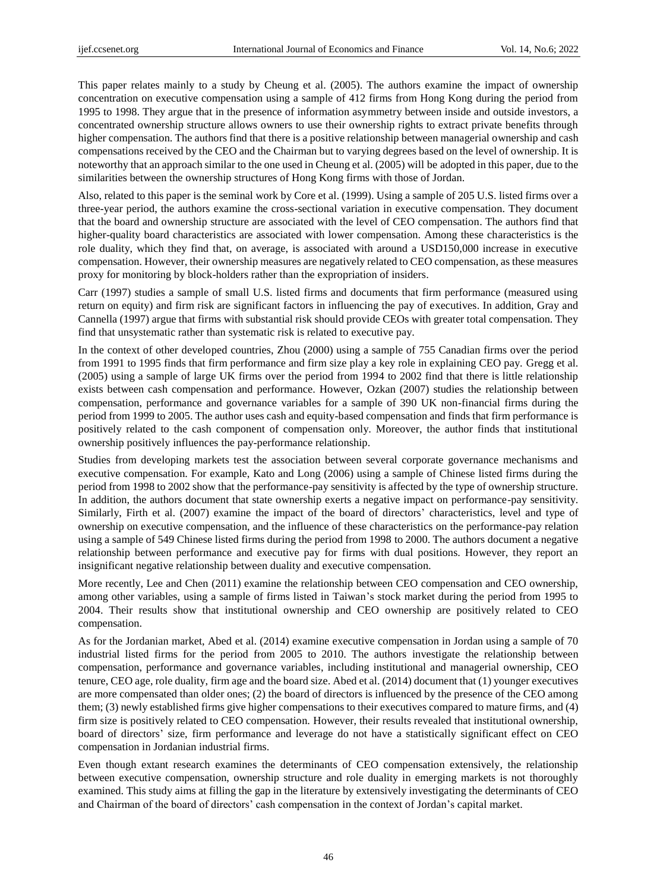This paper relates mainly to a study by Cheung et al. (2005). The authors examine the impact of ownership concentration on executive compensation using a sample of 412 firms from Hong Kong during the period from 1995 to 1998. They argue that in the presence of information asymmetry between inside and outside investors, a concentrated ownership structure allows owners to use their ownership rights to extract private benefits through higher compensation. The authors find that there is a positive relationship between managerial ownership and cash compensations received by the CEO and the Chairman but to varying degrees based on the level of ownership. It is noteworthy that an approach similar to the one used in Cheung et al. (2005) will be adopted in this paper, due to the similarities between the ownership structures of Hong Kong firms with those of Jordan.

Also, related to this paper is the seminal work by Core et al. (1999). Using a sample of 205 U.S. listed firms over a three-year period, the authors examine the cross-sectional variation in executive compensation. They document that the board and ownership structure are associated with the level of CEO compensation. The authors find that higher-quality board characteristics are associated with lower compensation. Among these characteristics is the role duality, which they find that, on average, is associated with around a USD150,000 increase in executive compensation. However, their ownership measures are negatively related to CEO compensation, as these measures proxy for monitoring by block-holders rather than the expropriation of insiders.

Carr (1997) studies a sample of small U.S. listed firms and documents that firm performance (measured using return on equity) and firm risk are significant factors in influencing the pay of executives. In addition, Gray and Cannella (1997) argue that firms with substantial risk should provide CEOs with greater total compensation. They find that unsystematic rather than systematic risk is related to executive pay.

In the context of other developed countries, Zhou (2000) using a sample of 755 Canadian firms over the period from 1991 to 1995 finds that firm performance and firm size play a key role in explaining CEO pay. Gregg et al. (2005) using a sample of large UK firms over the period from 1994 to 2002 find that there is little relationship exists between cash compensation and performance. However, Ozkan (2007) studies the relationship between compensation, performance and governance variables for a sample of 390 UK non-financial firms during the period from 1999 to 2005. The author uses cash and equity-based compensation and finds that firm performance is positively related to the cash component of compensation only. Moreover, the author finds that institutional ownership positively influences the pay-performance relationship.

Studies from developing markets test the association between several corporate governance mechanisms and executive compensation. For example, Kato and Long (2006) using a sample of Chinese listed firms during the period from 1998 to 2002 show that the performance-pay sensitivity is affected by the type of ownership structure. In addition, the authors document that state ownership exerts a negative impact on performance-pay sensitivity. Similarly, Firth et al. (2007) examine the impact of the board of directors' characteristics, level and type of ownership on executive compensation, and the influence of these characteristics on the performance-pay relation using a sample of 549 Chinese listed firms during the period from 1998 to 2000. The authors document a negative relationship between performance and executive pay for firms with dual positions. However, they report an insignificant negative relationship between duality and executive compensation.

More recently, Lee and Chen (2011) examine the relationship between CEO compensation and CEO ownership, among other variables, using a sample of firms listed in Taiwan's stock market during the period from 1995 to 2004. Their results show that institutional ownership and CEO ownership are positively related to CEO compensation.

As for the Jordanian market, Abed et al. (2014) examine executive compensation in Jordan using a sample of 70 industrial listed firms for the period from 2005 to 2010. The authors investigate the relationship between compensation, performance and governance variables, including institutional and managerial ownership, CEO tenure, CEO age, role duality, firm age and the board size. Abed et al. (2014) document that (1) younger executives are more compensated than older ones; (2) the board of directors is influenced by the presence of the CEO among them; (3) newly established firms give higher compensations to their executives compared to mature firms, and (4) firm size is positively related to CEO compensation. However, their results revealed that institutional ownership, board of directors' size, firm performance and leverage do not have a statistically significant effect on CEO compensation in Jordanian industrial firms.

Even though extant research examines the determinants of CEO compensation extensively, the relationship between executive compensation, ownership structure and role duality in emerging markets is not thoroughly examined. This study aims at filling the gap in the literature by extensively investigating the determinants of CEO and Chairman of the board of directors' cash compensation in the context of Jordan's capital market.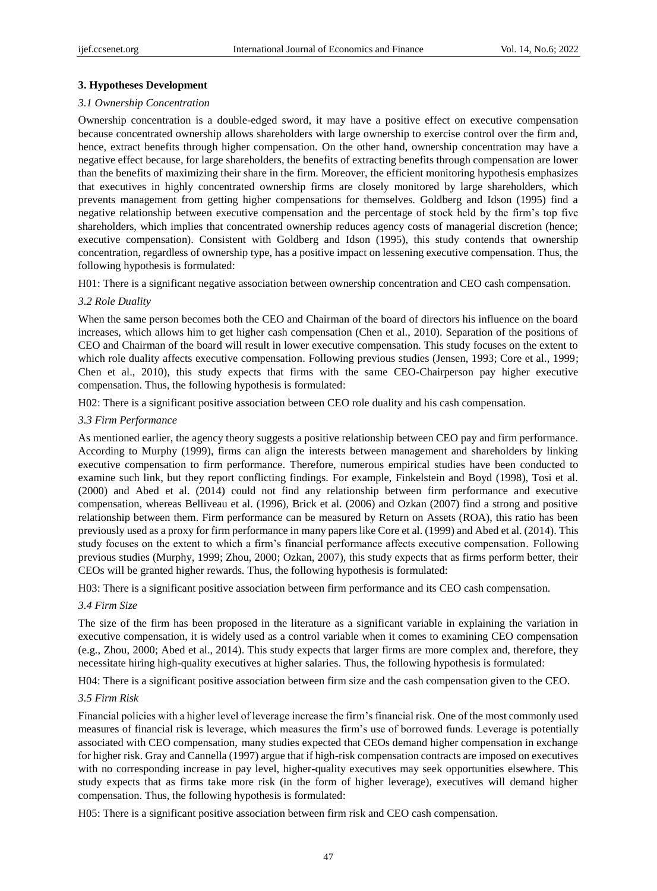## **3. Hypotheses Development**

#### *3.1 Ownership Concentration*

Ownership concentration is a double-edged sword, it may have a positive effect on executive compensation because concentrated ownership allows shareholders with large ownership to exercise control over the firm and, hence, extract benefits through higher compensation. On the other hand, ownership concentration may have a negative effect because, for large shareholders, the benefits of extracting benefits through compensation are lower than the benefits of maximizing their share in the firm. Moreover, the efficient monitoring hypothesis emphasizes that executives in highly concentrated ownership firms are closely monitored by large shareholders, which prevents management from getting higher compensations for themselves. Goldberg and Idson (1995) find a negative relationship between executive compensation and the percentage of stock held by the firm's top five shareholders, which implies that concentrated ownership reduces agency costs of managerial discretion (hence; executive compensation). Consistent with Goldberg and Idson (1995), this study contends that ownership concentration, regardless of ownership type, has a positive impact on lessening executive compensation. Thus, the following hypothesis is formulated:

H01: There is a significant negative association between ownership concentration and CEO cash compensation.

#### *3.2 Role Duality*

When the same person becomes both the CEO and Chairman of the board of directors his influence on the board increases, which allows him to get higher cash compensation (Chen et al., 2010). Separation of the positions of CEO and Chairman of the board will result in lower executive compensation. This study focuses on the extent to which role duality affects executive compensation. Following previous studies (Jensen, 1993; Core et al., 1999; Chen et al., 2010), this study expects that firms with the same CEO-Chairperson pay higher executive compensation. Thus, the following hypothesis is formulated:

H02: There is a significant positive association between CEO role duality and his cash compensation.

#### *3.3 Firm Performance*

As mentioned earlier, the agency theory suggests a positive relationship between CEO pay and firm performance. According to Murphy (1999), firms can align the interests between management and shareholders by linking executive compensation to firm performance. Therefore, numerous empirical studies have been conducted to examine such link, but they report conflicting findings. For example, Finkelstein and Boyd (1998), Tosi et al. (2000) and Abed et al. (2014) could not find any relationship between firm performance and executive compensation, whereas Belliveau et al. (1996), Brick et al. (2006) and Ozkan (2007) find a strong and positive relationship between them. Firm performance can be measured by Return on Assets (ROA), this ratio has been previously used as a proxy for firm performance in many papers like Core et al. (1999) and Abed et al. (2014). This study focuses on the extent to which a firm's financial performance affects executive compensation. Following previous studies (Murphy, 1999; Zhou, 2000; Ozkan, 2007), this study expects that as firms perform better, their CEOs will be granted higher rewards. Thus, the following hypothesis is formulated:

H03: There is a significant positive association between firm performance and its CEO cash compensation.

#### *3.4 Firm Size*

The size of the firm has been proposed in the literature as a significant variable in explaining the variation in executive compensation, it is widely used as a control variable when it comes to examining CEO compensation (e.g., Zhou, 2000; Abed et al., 2014). This study expects that larger firms are more complex and, therefore, they necessitate hiring high-quality executives at higher salaries. Thus, the following hypothesis is formulated:

H04: There is a significant positive association between firm size and the cash compensation given to the CEO.

#### *3.5 Firm Risk*

Financial policies with a higher level of leverage increase the firm's financial risk. One of the most commonly used measures of financial risk is leverage, which measures the firm's use of borrowed funds. Leverage is potentially associated with CEO compensation, many studies expected that CEOs demand higher compensation in exchange for higher risk. Gray and Cannella (1997) argue that if high-risk compensation contracts are imposed on executives with no corresponding increase in pay level, higher**-**quality executives may seek opportunities elsewhere. This study expects that as firms take more risk (in the form of higher leverage), executives will demand higher compensation. Thus, the following hypothesis is formulated:

H05: There is a significant positive association between firm risk and CEO cash compensation.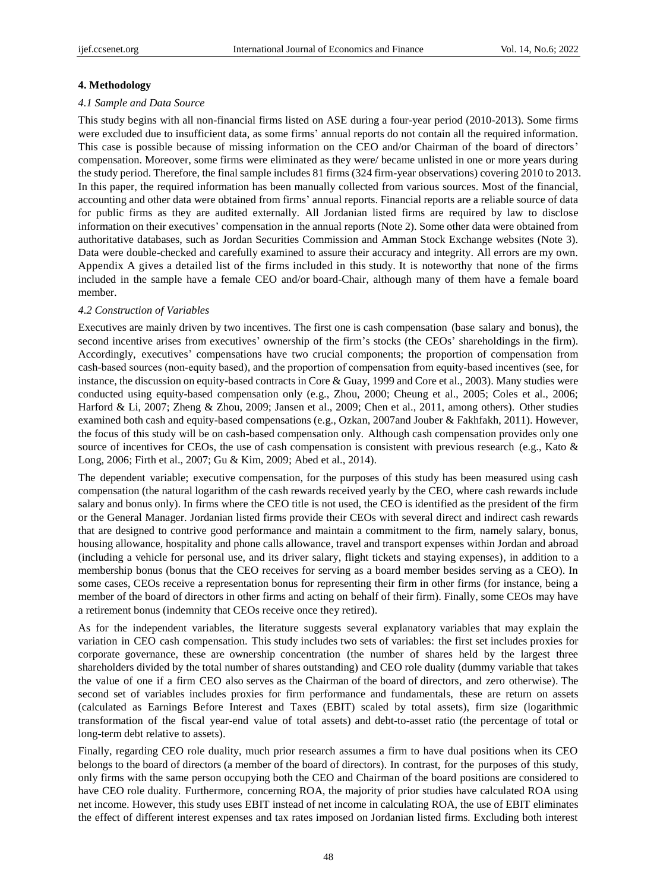#### **4. Methodology**

#### *4.1 Sample and Data Source*

This study begins with all non-financial firms listed on ASE during a four-year period (2010-2013). Some firms were excluded due to insufficient data, as some firms' annual reports do not contain all the required information. This case is possible because of missing information on the CEO and/or Chairman of the board of directors' compensation. Moreover, some firms were eliminated as they were/ became unlisted in one or more years during the study period. Therefore, the final sample includes 81 firms (324 firm-year observations) covering 2010 to 2013. In this paper, the required information has been manually collected from various sources. Most of the financial, accounting and other data were obtained from firms' annual reports. Financial reports are a reliable source of data for public firms as they are audited externally. All Jordanian listed firms are required by law to disclose information on their executives' compensation in the annual reports (Note 2). Some other data were obtained from authoritative databases, such as Jordan Securities Commission and Amman Stock Exchange websites (Note 3). Data were double-checked and carefully examined to assure their accuracy and integrity. All errors are my own. Appendix A gives a detailed list of the firms included in this study. It is noteworthy that none of the firms included in the sample have a female CEO and/or board-Chair, although many of them have a female board member.

#### *4.2 Construction of Variables*

Executives are mainly driven by two incentives. The first one is cash compensation (base salary and bonus), the second incentive arises from executives' ownership of the firm's stocks (the CEOs' shareholdings in the firm). Accordingly, executives' compensations have two crucial components; the proportion of compensation from cash-based sources (non‐equity based), and the proportion of compensation from equity‐based incentives (see, for instance, the discussion on equity-based contracts in Core & Guay, 1999 and Core et al., 2003). Many studies were conducted using equity-based compensation only (e.g., Zhou, 2000; Cheung et al., 2005; Coles et al., 2006; Harford & Li, 2007; Zheng & Zhou, 2009; Jansen et al., 2009; Chen et al., 2011, among others). Other studies examined both cash and equity-based compensations (e.g., Ozkan, 2007and Jouber & Fakhfakh, 2011). However, the focus of this study will be on cash-based compensation only. Although cash compensation provides only one source of incentives for CEOs, the use of cash compensation is consistent with previous research (e.g., Kato & Long, 2006; Firth et al., 2007; Gu & Kim, 2009; Abed et al., 2014).

The dependent variable; executive compensation, for the purposes of this study has been measured using cash compensation (the natural logarithm of the cash rewards received yearly by the CEO, where cash rewards include salary and bonus only). In firms where the CEO title is not used, the CEO is identified as the president of the firm or the General Manager. Jordanian listed firms provide their CEOs with several direct and indirect cash rewards that are designed to contrive good performance and maintain a commitment to the firm, namely salary, bonus, housing allowance, hospitality and phone calls allowance, travel and transport expenses within Jordan and abroad (including a vehicle for personal use, and its driver salary, flight tickets and staying expenses), in addition to a membership bonus (bonus that the CEO receives for serving as a board member besides serving as a CEO). In some cases, CEOs receive a representation bonus for representing their firm in other firms (for instance, being a member of the board of directors in other firms and acting on behalf of their firm). Finally, some CEOs may have a retirement bonus (indemnity that CEOs receive once they retired).

As for the independent variables, the literature suggests several explanatory variables that may explain the variation in CEO cash compensation. This study includes two sets of variables: the first set includes proxies for corporate governance, these are ownership concentration (the number of shares held by the largest three shareholders divided by the total number of shares outstanding) and CEO role duality (dummy variable that takes the value of one if a firm CEO also serves as the Chairman of the board of directors, and zero otherwise). The second set of variables includes proxies for firm performance and fundamentals, these are return on assets (calculated as Earnings Before Interest and Taxes (EBIT) scaled by total assets), firm size (logarithmic transformation of the fiscal year-end value of total assets) and debt-to-asset ratio (the percentage of total or long-term debt relative to assets).

Finally, regarding CEO role duality, much prior research assumes a firm to have dual positions when its CEO belongs to the board of directors (a member of the board of directors). In contrast, for the purposes of this study, only firms with the same person occupying both the CEO and Chairman of the board positions are considered to have CEO role duality. Furthermore, concerning ROA, the majority of prior studies have calculated ROA using net income. However, this study uses EBIT instead of net income in calculating ROA, the use of EBIT eliminates the effect of different interest expenses and tax rates imposed on Jordanian listed firms. Excluding both interest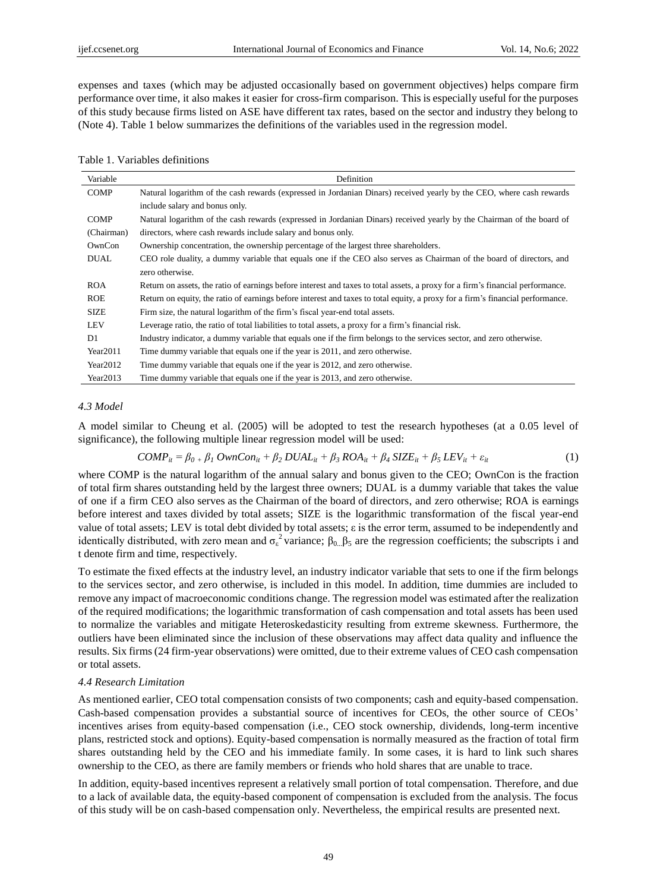expenses and taxes (which may be adjusted occasionally based on government objectives) helps compare firm performance over time, it also makes it easier for cross-firm comparison. This is especially useful for the purposes of this study because firms listed on ASE have different tax rates, based on the sector and industry they belong to (Note 4). Table 1 below summarizes the definitions of the variables used in the regression model.

|  |  | Table 1. Variables definitions |
|--|--|--------------------------------|
|--|--|--------------------------------|

| Variable       | Definition                                                                                                                     |
|----------------|--------------------------------------------------------------------------------------------------------------------------------|
| <b>COMP</b>    | Natural logarithm of the cash rewards (expressed in Jordanian Dinars) received yearly by the CEO, where cash rewards           |
|                | include salary and bonus only.                                                                                                 |
| <b>COMP</b>    | Natural logarithm of the cash rewards (expressed in Jordanian Dinars) received yearly by the Chairman of the board of          |
| (Chairman)     | directors, where cash rewards include salary and bonus only.                                                                   |
| OwnCon         | Ownership concentration, the ownership percentage of the largest three shareholders.                                           |
| <b>DUAL</b>    | CEO role duality, a dummy variable that equals one if the CEO also serves as Chairman of the board of directors, and           |
|                | zero otherwise.                                                                                                                |
| <b>ROA</b>     | Return on assets, the ratio of earnings before interest and taxes to total assets, a proxy for a firm's financial performance. |
| <b>ROE</b>     | Return on equity, the ratio of earnings before interest and taxes to total equity, a proxy for a firm's financial performance. |
| <b>SIZE</b>    | Firm size, the natural logarithm of the firm's fiscal year-end total assets.                                                   |
| LEV            | Leverage ratio, the ratio of total liabilities to total assets, a proxy for a firm's financial risk.                           |
| D <sub>1</sub> | Industry indicator, a dummy variable that equals one if the firm belongs to the services sector, and zero otherwise.           |
| Year2011       | Time dummy variable that equals one if the year is 2011, and zero otherwise.                                                   |
| Year2012       | Time dummy variable that equals one if the year is 2012, and zero otherwise.                                                   |
| Year2013       | Time dummy variable that equals one if the year is 2013, and zero otherwise.                                                   |

#### *4.3 Model*

A model similar to Cheung et al. (2005) will be adopted to test the research hypotheses (at a 0.05 level of significance), the following multiple linear regression model will be used:

$$
COMP_{it}=\beta_{0+}\beta_{1}\ OwnCon_{it}+\beta_{2}\ DUAL_{it}+\beta_{3}\ ROA_{it}+\beta_{4}\ SIZE_{it}+\beta_{5}\ LEV_{it}+\varepsilon_{it}
$$
\n(1)

where COMP is the natural logarithm of the annual salary and bonus given to the CEO; OwnCon is the fraction of total firm shares outstanding held by the largest three owners; DUAL is a dummy variable that takes the value of one if a firm CEO also serves as the Chairman of the board of directors, and zero otherwise; ROA is earnings before interest and taxes divided by total assets; SIZE is the logarithmic transformation of the fiscal year-end value of total assets; LEV is total debt divided by total assets; ε is the error term, assumed to be independently and identically distributed, with zero mean and  $\sigma_{\epsilon}^2$  variance;  $\beta_{0}$   $\beta_5$  are the regression coefficients; the subscripts i and t denote firm and time, respectively.

To estimate the fixed effects at the industry level, an industry indicator variable that sets to one if the firm belongs to the services sector, and zero otherwise, is included in this model. In addition, time dummies are included to remove any impact of macroeconomic conditions change. The regression model was estimated after the realization of the required modifications; the logarithmic transformation of cash compensation and total assets has been used to normalize the variables and mitigate Heteroskedasticity resulting from extreme skewness. Furthermore, the outliers have been eliminated since the inclusion of these observations may affect data quality and influence the results. Six firms (24 firm-year observations) were omitted, due to their extreme values of CEO cash compensation or total assets.

#### *4.4 Research Limitation*

As mentioned earlier, CEO total compensation consists of two components; cash and equity-based compensation. Cash-based compensation provides a substantial source of incentives for CEOs, the other source of CEOs' incentives arises from equity-based compensation (i.e., CEO stock ownership, dividends, long-term incentive plans, restricted stock and options). Equity-based compensation is normally measured as the fraction of total firm shares outstanding held by the CEO and his immediate family. In some cases, it is hard to link such shares ownership to the CEO, as there are family members or friends who hold shares that are unable to trace.

In addition, equity-based incentives represent a relatively small portion of total compensation. Therefore, and due to a lack of available data, the equity-based component of compensation is excluded from the analysis. The focus of this study will be on cash-based compensation only. Nevertheless, the empirical results are presented next.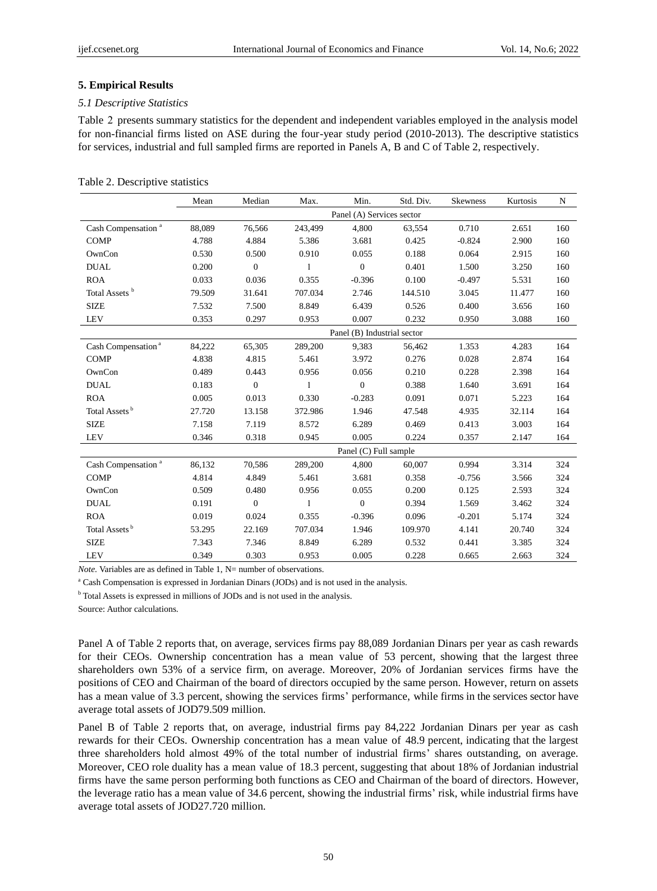#### **5. Empirical Results**

#### *5.1 Descriptive Statistics*

Table 2 presents summary statistics for the dependent and independent variables employed in the analysis model for non-financial firms listed on ASE during the four-year study period (2010-2013). The descriptive statistics for services, industrial and full sampled firms are reported in Panels A, B and C of Table 2, respectively.

## Table 2. Descriptive statistics

|                                | Mean   | Median           | Max.    | Min.                        | Std. Div. | Skewness | Kurtosis | N   |
|--------------------------------|--------|------------------|---------|-----------------------------|-----------|----------|----------|-----|
|                                |        |                  |         | Panel (A) Services sector   |           |          |          |     |
| Cash Compensation <sup>a</sup> | 88,089 | 76,566           | 243,499 | 4,800                       | 63,554    | 0.710    | 2.651    | 160 |
| <b>COMP</b>                    | 4.788  | 4.884            | 5.386   | 3.681                       | 0.425     | $-0.824$ | 2.900    | 160 |
| OwnCon                         | 0.530  | 0.500            | 0.910   | 0.055                       | 0.188     | 0.064    | 2.915    | 160 |
| <b>DUAL</b>                    | 0.200  | $\boldsymbol{0}$ | 1       | $\boldsymbol{0}$            | 0.401     | 1.500    | 3.250    | 160 |
| <b>ROA</b>                     | 0.033  | 0.036            | 0.355   | $-0.396$                    | 0.100     | $-0.497$ | 5.531    | 160 |
| Total Assets <sup>b</sup>      | 79.509 | 31.641           | 707.034 | 2.746                       | 144.510   | 3.045    | 11.477   | 160 |
| <b>SIZE</b>                    | 7.532  | 7.500            | 8.849   | 6.439                       | 0.526     | 0.400    | 3.656    | 160 |
| <b>LEV</b>                     | 0.353  | 0.297            | 0.953   | 0.007                       | 0.232     | 0.950    | 3.088    | 160 |
|                                |        |                  |         | Panel (B) Industrial sector |           |          |          |     |
| Cash Compensation <sup>a</sup> | 84,222 | 65,305           | 289,200 | 9,383                       | 56,462    | 1.353    | 4.283    | 164 |
| <b>COMP</b>                    | 4.838  | 4.815            | 5.461   | 3.972                       | 0.276     | 0.028    | 2.874    | 164 |
| OwnCon                         | 0.489  | 0.443            | 0.956   | 0.056                       | 0.210     | 0.228    | 2.398    | 164 |
| <b>DUAL</b>                    | 0.183  | $\overline{0}$   | 1       | $\boldsymbol{0}$            | 0.388     | 1.640    | 3.691    | 164 |
| <b>ROA</b>                     | 0.005  | 0.013            | 0.330   | $-0.283$                    | 0.091     | 0.071    | 5.223    | 164 |
| Total Assets <sup>b</sup>      | 27.720 | 13.158           | 372.986 | 1.946                       | 47.548    | 4.935    | 32.114   | 164 |
| <b>SIZE</b>                    | 7.158  | 7.119            | 8.572   | 6.289                       | 0.469     | 0.413    | 3.003    | 164 |
| <b>LEV</b>                     | 0.346  | 0.318            | 0.945   | 0.005                       | 0.224     | 0.357    | 2.147    | 164 |
|                                |        |                  |         | Panel (C) Full sample       |           |          |          |     |
| Cash Compensation <sup>a</sup> | 86,132 | 70,586           | 289,200 | 4,800                       | 60,007    | 0.994    | 3.314    | 324 |
| <b>COMP</b>                    | 4.814  | 4.849            | 5.461   | 3.681                       | 0.358     | $-0.756$ | 3.566    | 324 |
| OwnCon                         | 0.509  | 0.480            | 0.956   | 0.055                       | 0.200     | 0.125    | 2.593    | 324 |
| <b>DUAL</b>                    | 0.191  | $\overline{0}$   | 1       | $\overline{0}$              | 0.394     | 1.569    | 3.462    | 324 |
| <b>ROA</b>                     | 0.019  | 0.024            | 0.355   | $-0.396$                    | 0.096     | $-0.201$ | 5.174    | 324 |
| Total Assets <sup>b</sup>      | 53.295 | 22.169           | 707.034 | 1.946                       | 109.970   | 4.141    | 20.740   | 324 |
| <b>SIZE</b>                    | 7.343  | 7.346            | 8.849   | 6.289                       | 0.532     | 0.441    | 3.385    | 324 |
| <b>LEV</b>                     | 0.349  | 0.303            | 0.953   | 0.005                       | 0.228     | 0.665    | 2.663    | 324 |

*Note.* Variables are as defined in Table 1, N= number of observations.

<sup>a</sup> Cash Compensation is expressed in Jordanian Dinars (JODs) and is not used in the analysis.

<sup>b</sup> Total Assets is expressed in millions of JODs and is not used in the analysis.

Source: Author calculations.

Panel A of Table 2 reports that, on average, services firms pay 88,089 Jordanian Dinars per year as cash rewards for their CEOs. Ownership concentration has a mean value of 53 percent, showing that the largest three shareholders own 53% of a service firm, on average. Moreover, 20% of Jordanian services firms have the positions of CEO and Chairman of the board of directors occupied by the same person. However, return on assets has a mean value of 3.3 percent, showing the services firms' performance, while firms in the services sector have average total assets of JOD79.509 million.

Panel B of Table 2 reports that, on average, industrial firms pay 84,222 Jordanian Dinars per year as cash rewards for their CEOs. Ownership concentration has a mean value of 48.9 percent, indicating that the largest three shareholders hold almost 49% of the total number of industrial firms' shares outstanding, on average. Moreover, CEO role duality has a mean value of 18.3 percent, suggesting that about 18% of Jordanian industrial firms have the same person performing both functions as CEO and Chairman of the board of directors. However, the leverage ratio has a mean value of 34.6 percent, showing the industrial firms' risk, while industrial firms have average total assets of JOD27.720 million.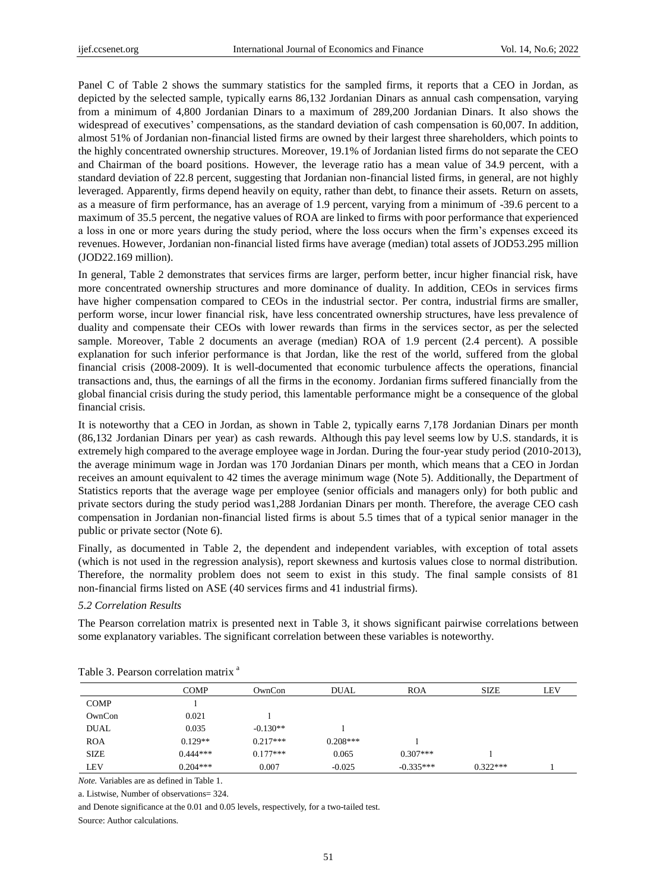Panel C of Table 2 shows the summary statistics for the sampled firms, it reports that a CEO in Jordan, as depicted by the selected sample, typically earns 86,132 Jordanian Dinars as annual cash compensation, varying from a minimum of 4,800 Jordanian Dinars to a maximum of 289,200 Jordanian Dinars. It also shows the widespread of executives' compensations, as the standard deviation of cash compensation is 60,007. In addition, almost 51% of Jordanian non-financial listed firms are owned by their largest three shareholders, which points to the highly concentrated ownership structures. Moreover, 19.1% of Jordanian listed firms do not separate the CEO and Chairman of the board positions. However, the leverage ratio has a mean value of 34.9 percent, with a standard deviation of 22.8 percent, suggesting that Jordanian non-financial listed firms, in general, are not highly leveraged. Apparently, firms depend heavily on equity, rather than debt, to finance their assets. Return on assets, as a measure of firm performance, has an average of 1.9 percent, varying from a minimum of -39.6 percent to a maximum of 35.5 percent, the negative values of ROA are linked to firms with poor performance that experienced a loss in one or more years during the study period, where the loss occurs when the firm's expenses exceed its revenues. However, Jordanian non-financial listed firms have average (median) total assets of JOD53.295 million (JOD22.169 million).

In general, Table 2 demonstrates that services firms are larger, perform better, incur higher financial risk, have more concentrated ownership structures and more dominance of duality. In addition, CEOs in services firms have higher compensation compared to CEOs in the industrial sector. Per contra, industrial firms are smaller, perform worse, incur lower financial risk, have less concentrated ownership structures, have less prevalence of duality and compensate their CEOs with lower rewards than firms in the services sector, as per the selected sample. Moreover, Table 2 documents an average (median) ROA of 1.9 percent (2.4 percent). A possible explanation for such inferior performance is that Jordan, like the rest of the world, suffered from the global financial crisis (2008-2009). It is well-documented that economic turbulence affects the operations, financial transactions and, thus, the earnings of all the firms in the economy. Jordanian firms suffered financially from the global financial crisis during the study period, this lamentable performance might be a consequence of the global financial crisis.

It is noteworthy that a CEO in Jordan, as shown in Table 2, typically earns 7,178 Jordanian Dinars per month (86,132 Jordanian Dinars per year) as cash rewards. Although this pay level seems low by U.S. standards, it is extremely high compared to the average employee wage in Jordan. During the four-year study period (2010-2013), the average minimum wage in Jordan was 170 Jordanian Dinars per month, which means that a CEO in Jordan receives an amount equivalent to 42 times the average minimum wage (Note 5). Additionally, the Department of Statistics reports that the average wage per employee (senior officials and managers only) for both public and private sectors during the study period was1,288 Jordanian Dinars per month. Therefore, the average CEO cash compensation in Jordanian non-financial listed firms is about 5.5 times that of a typical senior manager in the public or private sector (Note 6).

Finally, as documented in Table 2, the dependent and independent variables, with exception of total assets (which is not used in the regression analysis), report skewness and kurtosis values close to normal distribution. Therefore, the normality problem does not seem to exist in this study. The final sample consists of 81 non-financial firms listed on ASE (40 services firms and 41 industrial firms).

#### *5.2 Correlation Results*

The Pearson correlation matrix is presented next in Table 3, it shows significant pairwise correlations between some explanatory variables. The significant correlation between these variables is noteworthy.

|             | <b>COMP</b> | OwnCon     | <b>DUAL</b> | <b>ROA</b>  | <b>SIZE</b> | <b>LEV</b> |
|-------------|-------------|------------|-------------|-------------|-------------|------------|
| <b>COMP</b> |             |            |             |             |             |            |
| OwnCon      | 0.021       |            |             |             |             |            |
| <b>DUAL</b> | 0.035       | $-0.130**$ |             |             |             |            |
| <b>ROA</b>  | $0.129**$   | $0.217***$ | $0.208***$  |             |             |            |
| <b>SIZE</b> | $0.444***$  | $0.177***$ | 0.065       | $0.307***$  |             |            |
| LEV         | $0.204***$  | 0.007      | $-0.025$    | $-0.335***$ | $0.322***$  |            |

| Table 3. Pearson correlation matrix <sup>a</sup> |  |  |  |
|--------------------------------------------------|--|--|--|
|--------------------------------------------------|--|--|--|

*Note.* Variables are as defined in Table 1.

a. Listwise, Number of observations= 324.

and Denote significance at the 0.01 and 0.05 levels, respectively, for a two-tailed test.

Source: Author calculations.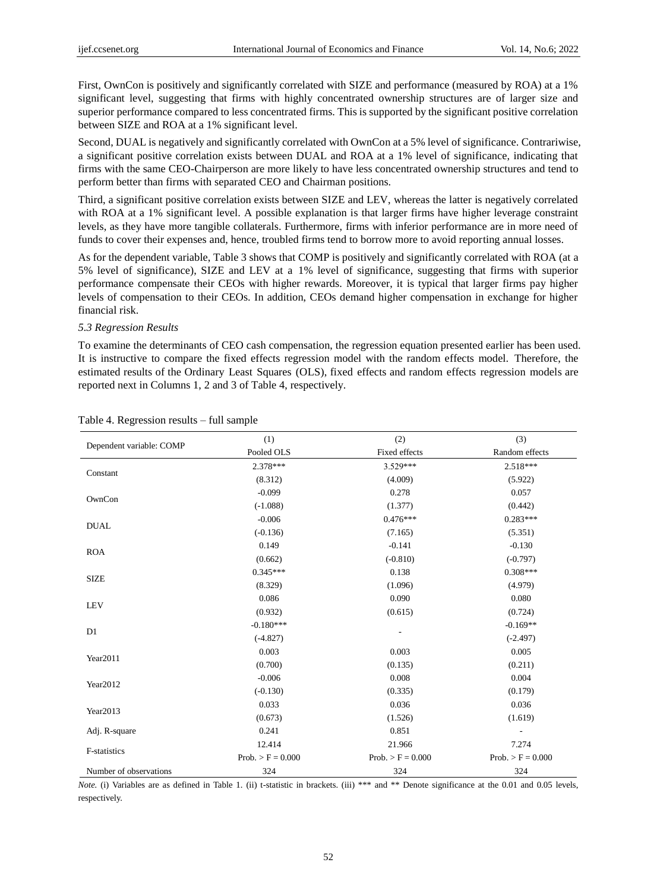First, OwnCon is positively and significantly correlated with SIZE and performance (measured by ROA) at a 1% significant level, suggesting that firms with highly concentrated ownership structures are of larger size and superior performance compared to less concentrated firms. This is supported by the significant positive correlation between SIZE and ROA at a 1% significant level.

Second, DUAL is negatively and significantly correlated with OwnCon at a 5% level of significance. Contrariwise, a significant positive correlation exists between DUAL and ROA at a 1% level of significance, indicating that firms with the same CEO-Chairperson are more likely to have less concentrated ownership structures and tend to perform better than firms with separated CEO and Chairman positions.

Third, a significant positive correlation exists between SIZE and LEV, whereas the latter is negatively correlated with ROA at a 1% significant level. A possible explanation is that larger firms have higher leverage constraint levels, as they have more tangible collaterals. Furthermore, firms with inferior performance are in more need of funds to cover their expenses and, hence, troubled firms tend to borrow more to avoid reporting annual losses.

As for the dependent variable, Table 3 shows that COMP is positively and significantly correlated with ROA (at a 5% level of significance), SIZE and LEV at a 1% level of significance, suggesting that firms with superior performance compensate their CEOs with higher rewards. Moreover, it is typical that larger firms pay higher levels of compensation to their CEOs. In addition, CEOs demand higher compensation in exchange for higher financial risk.

#### *5.3 Regression Results*

To examine the determinants of CEO cash compensation, the regression equation presented earlier has been used. It is instructive to compare the fixed effects regression model with the random effects model. Therefore, the estimated results of the Ordinary Least Squares (OLS), fixed effects and random effects regression models are reported next in Columns 1, 2 and 3 of Table 4, respectively.

|                          | (1)                 | (2)                 | (3)                 |
|--------------------------|---------------------|---------------------|---------------------|
| Dependent variable: COMP | Pooled OLS          | Fixed effects       | Random effects      |
|                          | 2.378***            | 3.529***            | 2.518***            |
| Constant                 | (8.312)             | (4.009)             | (5.922)             |
|                          | $-0.099$            | 0.278               | 0.057               |
| OwnCon                   | $(-1.088)$          | (1.377)             | (0.442)             |
| <b>DUAL</b>              | $-0.006$            | $0.476***$          | $0.283***$          |
|                          | $(-0.136)$          | (7.165)             | (5.351)             |
| <b>ROA</b>               | 0.149               | $-0.141$            | $-0.130$            |
|                          | (0.662)             | $(-0.810)$          | $(-0.797)$          |
| <b>SIZE</b>              | $0.345***$          | 0.138               | $0.308***$          |
|                          | (8.329)             | (1.096)             | (4.979)             |
| <b>LEV</b>               | 0.086               | 0.090               | 0.080               |
|                          | (0.932)             | (0.615)             | (0.724)             |
| D <sub>1</sub>           | $-0.180***$         |                     | $-0.169**$          |
|                          | $(-4.827)$          |                     | $(-2.497)$          |
| Year2011                 | 0.003               | 0.003               | 0.005               |
|                          | (0.700)             | (0.135)             | (0.211)             |
| Year2012                 | $-0.006$            | 0.008               | 0.004               |
|                          | $(-0.130)$          | (0.335)             | (0.179)             |
| Year2013                 | 0.033               | 0.036               | 0.036               |
|                          | (0.673)             | (1.526)             | (1.619)             |
| Adj. R-square            | 0.241               | 0.851               |                     |
| F-statistics             | 12.414              | 21.966              | 7.274               |
|                          | $Prob. > F = 0.000$ | $Prob. > F = 0.000$ | $Prob. > F = 0.000$ |
| Number of observations   | 324                 | 324                 | 324                 |

#### Table 4. Regression results – full sample

*Note.* (i) Variables are as defined in Table 1. (ii) t-statistic in brackets. (iii) \*\*\* and \*\* Denote significance at the 0.01 and 0.05 levels, respectively.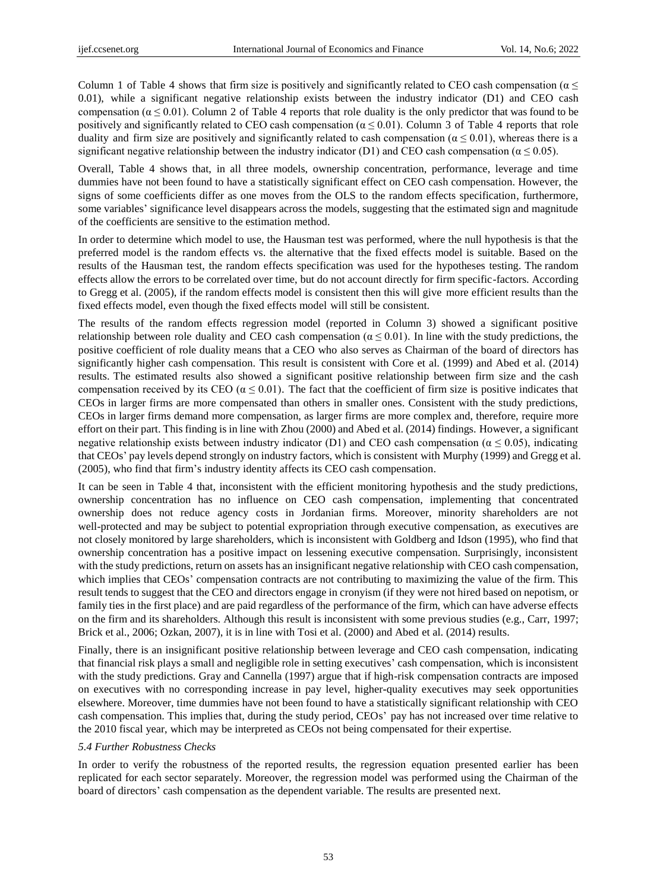Column 1 of Table 4 shows that firm size is positively and significantly related to CEO cash compensation ( $\alpha \leq$ 0.01), while a significant negative relationship exists between the industry indicator (D1) and CEO cash compensation ( $\alpha \le 0.01$ ). Column 2 of Table 4 reports that role duality is the only predictor that was found to be positively and significantly related to CEO cash compensation ( $\alpha \le 0.01$ ). Column 3 of Table 4 reports that role duality and firm size are positively and significantly related to cash compensation ( $\alpha \le 0.01$ ), whereas there is a significant negative relationship between the industry indicator (D1) and CEO cash compensation ( $\alpha \le 0.05$ ).

Overall, Table 4 shows that, in all three models, ownership concentration, performance, leverage and time dummies have not been found to have a statistically significant effect on CEO cash compensation. However, the signs of some coefficients differ as one moves from the OLS to the random effects specification, furthermore, some variables' significance level disappears across the models, suggesting that the estimated sign and magnitude of the coefficients are sensitive to the estimation method.

In order to determine which model to use, the Hausman test was performed, where the null hypothesis is that the preferred model is the random effects vs. the alternative that the fixed effects model is suitable. Based on the results of the Hausman test, the random effects specification was used for the hypotheses testing. The random effects allow the errors to be correlated over time, but do not account directly for firm specific-factors. According to Gregg et al. (2005), if the random effects model is consistent then this will give more efficient results than the fixed effects model, even though the fixed effects model will still be consistent.

The results of the random effects regression model (reported in Column 3) showed a significant positive relationship between role duality and CEO cash compensation ( $\alpha \le 0.01$ ). In line with the study predictions, the positive coefficient of role duality means that a CEO who also serves as Chairman of the board of directors has significantly higher cash compensation. This result is consistent with Core et al. (1999) and Abed et al. (2014) results. The estimated results also showed a significant positive relationship between firm size and the cash compensation received by its CEO ( $\alpha \le 0.01$ ). The fact that the coefficient of firm size is positive indicates that CEOs in larger firms are more compensated than others in smaller ones. Consistent with the study predictions, CEOs in larger firms demand more compensation, as larger firms are more complex and, therefore, require more effort on their part. This finding is in line with Zhou (2000) and Abed et al. (2014) findings. However, a significant negative relationship exists between industry indicator (D1) and CEO cash compensation ( $\alpha \le 0.05$ ), indicating that CEOs' pay levels depend strongly on industry factors, which is consistent with Murphy (1999) and Gregg et al. (2005), who find that firm's industry identity affects its CEO cash compensation.

It can be seen in Table 4 that, inconsistent with the efficient monitoring hypothesis and the study predictions, ownership concentration has no influence on CEO cash compensation, implementing that concentrated ownership does not reduce agency costs in Jordanian firms. Moreover, minority shareholders are not well-protected and may be subject to potential expropriation through executive compensation, as executives are not closely monitored by large shareholders, which is inconsistent with Goldberg and Idson (1995), who find that ownership concentration has a positive impact on lessening executive compensation. Surprisingly, inconsistent with the study predictions, return on assets has an insignificant negative relationship with CEO cash compensation, which implies that CEOs' compensation contracts are not contributing to maximizing the value of the firm. This result tends to suggest that the CEO and directors engage in cronyism (if they were not hired based on nepotism, or family ties in the first place) and are paid regardless of the performance of the firm, which can have adverse effects on the firm and its shareholders. Although this result is inconsistent with some previous studies (e.g., Carr, 1997; Brick et al., 2006; Ozkan, 2007), it is in line with Tosi et al. (2000) and Abed et al. (2014) results.

Finally, there is an insignificant positive relationship between leverage and CEO cash compensation, indicating that financial risk plays a small and negligible role in setting executives' cash compensation, which is inconsistent with the study predictions. Gray and Cannella (1997) argue that if high-risk compensation contracts are imposed on executives with no corresponding increase in pay level, higher**-**quality executives may seek opportunities elsewhere. Moreover, time dummies have not been found to have a statistically significant relationship with CEO cash compensation. This implies that, during the study period, CEOs' pay has not increased over time relative to the 2010 fiscal year, which may be interpreted as CEOs not being compensated for their expertise.

# *5.4 Further Robustness Checks*

In order to verify the robustness of the reported results, the regression equation presented earlier has been replicated for each sector separately. Moreover, the regression model was performed using the Chairman of the board of directors' cash compensation as the dependent variable. The results are presented next.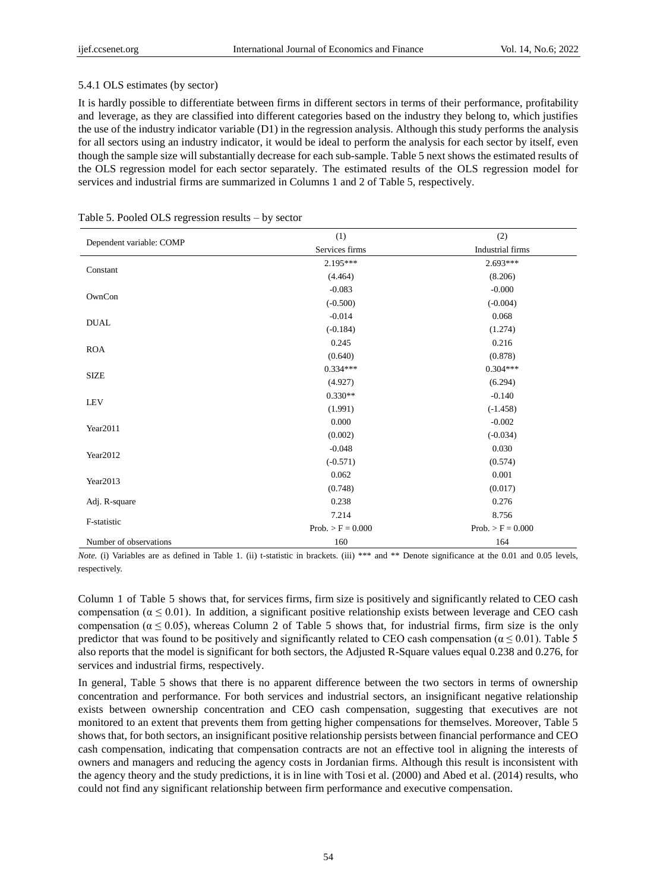#### 5.4.1 OLS estimates (by sector)

It is hardly possible to differentiate between firms in different sectors in terms of their performance, profitability and leverage, as they are classified into different categories based on the industry they belong to, which justifies the use of the industry indicator variable (D1) in the regression analysis. Although this study performs the analysis for all sectors using an industry indicator, it would be ideal to perform the analysis for each sector by itself, even though the sample size will substantially decrease for each sub-sample. Table 5 next shows the estimated results of the OLS regression model for each sector separately. The estimated results of the OLS regression model for services and industrial firms are summarized in Columns 1 and 2 of Table 5, respectively.

|                          | (1)                 | (2)                 |
|--------------------------|---------------------|---------------------|
| Dependent variable: COMP | Services firms      | Industrial firms    |
|                          | $2.195***$          | $2.693***$          |
| Constant                 | (4.464)             | (8.206)             |
|                          | $-0.083$            | $-0.000$            |
| OwnCon                   | $(-0.500)$          | $(-0.004)$          |
|                          | $-0.014$            | 0.068               |
| <b>DUAL</b>              | $(-0.184)$          | (1.274)             |
|                          | 0.245               | 0.216               |
| <b>ROA</b>               | (0.640)             | (0.878)             |
|                          | $0.334***$          | $0.304***$          |
| <b>SIZE</b>              | (4.927)             | (6.294)             |
|                          | $0.330**$           | $-0.140$            |
| <b>LEV</b>               | (1.991)             | $(-1.458)$          |
|                          | 0.000               | $-0.002$            |
| Year2011                 | (0.002)             | $(-0.034)$          |
|                          | $-0.048$            | 0.030               |
| Year2012                 | $(-0.571)$          | (0.574)             |
|                          | 0.062               | 0.001               |
| Year2013                 | (0.748)             | (0.017)             |
| Adj. R-square            | 0.238               | 0.276               |
|                          | 7.214               | 8.756               |
| F-statistic              | $Prob. > F = 0.000$ | $Prob. > F = 0.000$ |
| Number of observations   | 160                 | 164                 |

|  | Table 5. Pooled OLS regression results – by sector |  |  |
|--|----------------------------------------------------|--|--|
|  |                                                    |  |  |

*Note.* (i) Variables are as defined in Table 1. (ii) t-statistic in brackets. (iii) \*\*\* and \*\* Denote significance at the 0.01 and 0.05 levels, respectively.

Column 1 of Table 5 shows that, for services firms, firm size is positively and significantly related to CEO cash compensation ( $\alpha \le 0.01$ ). In addition, a significant positive relationship exists between leverage and CEO cash compensation ( $\alpha \le 0.05$ ), whereas Column 2 of Table 5 shows that, for industrial firms, firm size is the only predictor that was found to be positively and significantly related to CEO cash compensation ( $\alpha \le 0.01$ ). Table 5 also reports that the model is significant for both sectors, the Adjusted R-Square values equal 0.238 and 0.276, for services and industrial firms, respectively.

In general, Table 5 shows that there is no apparent difference between the two sectors in terms of ownership concentration and performance. For both services and industrial sectors, an insignificant negative relationship exists between ownership concentration and CEO cash compensation, suggesting that executives are not monitored to an extent that prevents them from getting higher compensations for themselves. Moreover, Table 5 shows that, for both sectors, an insignificant positive relationship persists between financial performance and CEO cash compensation, indicating that compensation contracts are not an effective tool in aligning the interests of owners and managers and reducing the agency costs in Jordanian firms. Although this result is inconsistent with the agency theory and the study predictions, it is in line with Tosi et al. (2000) and Abed et al. (2014) results, who could not find any significant relationship between firm performance and executive compensation.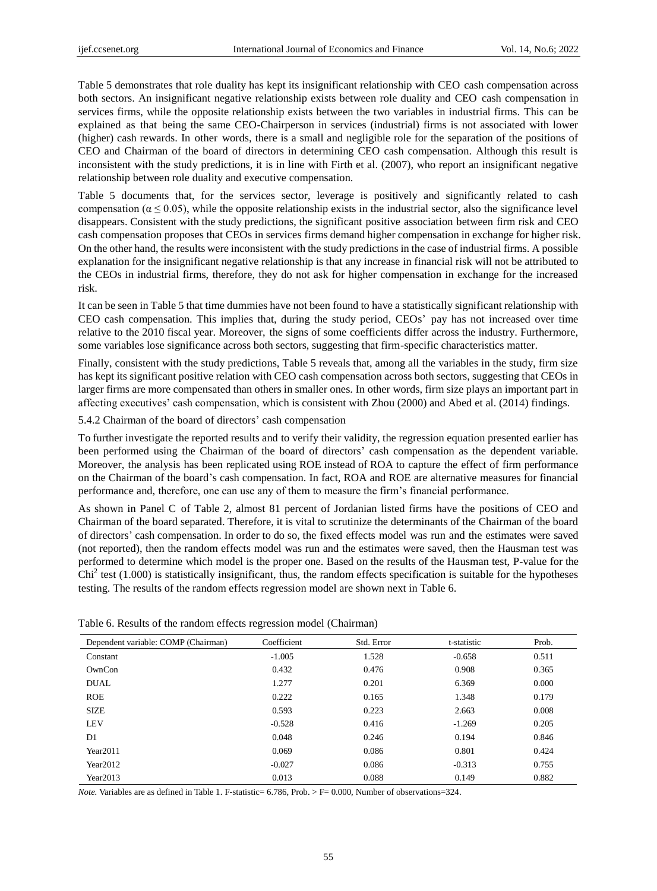Table 5 demonstrates that role duality has kept its insignificant relationship with CEO cash compensation across both sectors. An insignificant negative relationship exists between role duality and CEO cash compensation in services firms, while the opposite relationship exists between the two variables in industrial firms. This can be explained as that being the same CEO-Chairperson in services (industrial) firms is not associated with lower (higher) cash rewards. In other words, there is a small and negligible role for the separation of the positions of CEO and Chairman of the board of directors in determining CEO cash compensation. Although this result is inconsistent with the study predictions, it is in line with Firth et al. (2007), who report an insignificant negative relationship between role duality and executive compensation.

Table 5 documents that, for the services sector, leverage is positively and significantly related to cash compensation ( $\alpha \le 0.05$ ), while the opposite relationship exists in the industrial sector, also the significance level disappears. Consistent with the study predictions, the significant positive association between firm risk and CEO cash compensation proposes that CEOs in services firms demand higher compensation in exchange for higher risk. On the other hand, the results were inconsistent with the study predictions in the case of industrial firms. A possible explanation for the insignificant negative relationship is that any increase in financial risk will not be attributed to the CEOs in industrial firms, therefore, they do not ask for higher compensation in exchange for the increased risk.

It can be seen in Table 5 that time dummies have not been found to have a statistically significant relationship with CEO cash compensation. This implies that, during the study period, CEOs' pay has not increased over time relative to the 2010 fiscal year. Moreover, the signs of some coefficients differ across the industry. Furthermore, some variables lose significance across both sectors, suggesting that firm-specific characteristics matter.

Finally, consistent with the study predictions, Table 5 reveals that, among all the variables in the study, firm size has kept its significant positive relation with CEO cash compensation across both sectors, suggesting that CEOs in larger firms are more compensated than others in smaller ones. In other words, firm size plays an important part in affecting executives' cash compensation, which is consistent with Zhou (2000) and Abed et al. (2014) findings.

5.4.2 Chairman of the board of directors' cash compensation

To further investigate the reported results and to verify their validity, the regression equation presented earlier has been performed using the Chairman of the board of directors' cash compensation as the dependent variable. Moreover, the analysis has been replicated using ROE instead of ROA to capture the effect of firm performance on the Chairman of the board's cash compensation. In fact, ROA and ROE are alternative measures for financial performance and, therefore, one can use any of them to measure the firm's financial performance.

As shown in Panel C of Table 2, almost 81 percent of Jordanian listed firms have the positions of CEO and Chairman of the board separated. Therefore, it is vital to scrutinize the determinants of the Chairman of the board of directors' cash compensation. In order to do so, the fixed effects model was run and the estimates were saved (not reported), then the random effects model was run and the estimates were saved, then the Hausman test was performed to determine which model is the proper one. Based on the results of the Hausman test, P-value for the  $Chi<sup>2</sup>$  test (1.000) is statistically insignificant, thus, the random effects specification is suitable for the hypotheses testing. The results of the random effects regression model are shown next in Table 6.

| Dependent variable: COMP (Chairman) | Coefficient | Std. Error | t-statistic | Prob. |
|-------------------------------------|-------------|------------|-------------|-------|
| Constant                            | $-1.005$    | 1.528      | $-0.658$    | 0.511 |
| OwnCon                              | 0.432       | 0.476      | 0.908       | 0.365 |
| <b>DUAL</b>                         | 1.277       | 0.201      | 6.369       | 0.000 |
| <b>ROE</b>                          | 0.222       | 0.165      | 1.348       | 0.179 |
| <b>SIZE</b>                         | 0.593       | 0.223      | 2.663       | 0.008 |
| LEV                                 | $-0.528$    | 0.416      | $-1.269$    | 0.205 |
| D <sub>1</sub>                      | 0.048       | 0.246      | 0.194       | 0.846 |
| Year2011                            | 0.069       | 0.086      | 0.801       | 0.424 |
| Year $2012$                         | $-0.027$    | 0.086      | $-0.313$    | 0.755 |
| Year2013                            | 0.013       | 0.088      | 0.149       | 0.882 |

Table 6. Results of the random effects regression model (Chairman)

*Note.* Variables are as defined in Table 1. F-statistic= 6.786, Prob. > F= 0.000, Number of observations=324.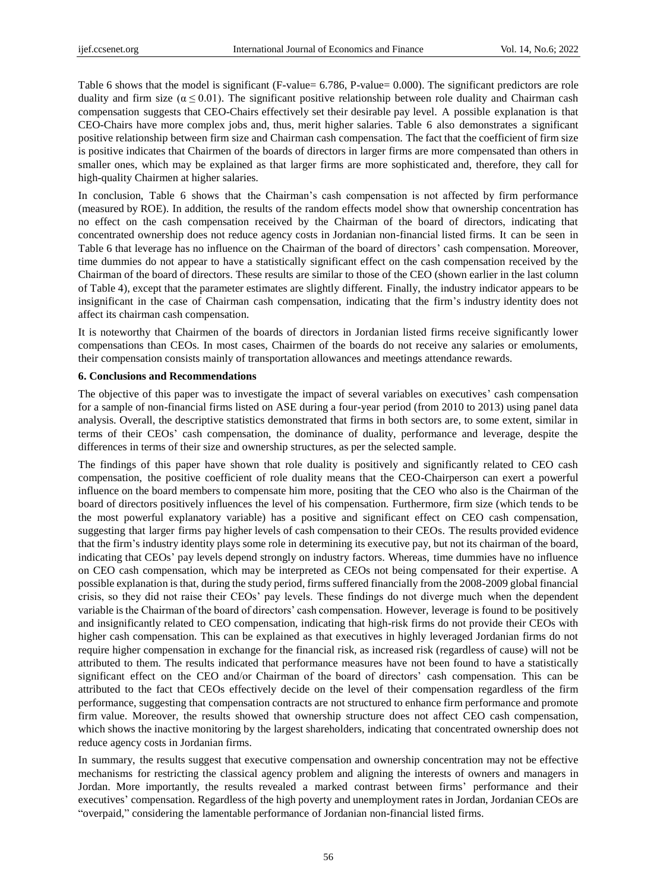Table 6 shows that the model is significant (F-value= 6.786, P-value= 0.000). The significant predictors are role duality and firm size  $(\alpha \le 0.01)$ . The significant positive relationship between role duality and Chairman cash compensation suggests that CEO-Chairs effectively set their desirable pay level. A possible explanation is that CEO-Chairs have more complex jobs and, thus, merit higher salaries. Table 6 also demonstrates a significant positive relationship between firm size and Chairman cash compensation. The fact that the coefficient of firm size is positive indicates that Chairmen of the boards of directors in larger firms are more compensated than others in smaller ones, which may be explained as that larger firms are more sophisticated and, therefore, they call for high-quality Chairmen at higher salaries.

In conclusion, Table 6 shows that the Chairman's cash compensation is not affected by firm performance (measured by ROE). In addition, the results of the random effects model show that ownership concentration has no effect on the cash compensation received by the Chairman of the board of directors, indicating that concentrated ownership does not reduce agency costs in Jordanian non-financial listed firms. It can be seen in Table 6 that leverage has no influence on the Chairman of the board of directors' cash compensation. Moreover, time dummies do not appear to have a statistically significant effect on the cash compensation received by the Chairman of the board of directors. These results are similar to those of the CEO (shown earlier in the last column of Table 4), except that the parameter estimates are slightly different. Finally, the industry indicator appears to be insignificant in the case of Chairman cash compensation, indicating that the firm's industry identity does not affect its chairman cash compensation.

It is noteworthy that Chairmen of the boards of directors in Jordanian listed firms receive significantly lower compensations than CEOs. In most cases, Chairmen of the boards do not receive any salaries or emoluments, their compensation consists mainly of transportation allowances and meetings attendance rewards.

#### **6. Conclusions and Recommendations**

The objective of this paper was to investigate the impact of several variables on executives' cash compensation for a sample of non-financial firms listed on ASE during a four-year period (from 2010 to 2013) using panel data analysis. Overall, the descriptive statistics demonstrated that firms in both sectors are, to some extent, similar in terms of their CEOs' cash compensation, the dominance of duality, performance and leverage, despite the differences in terms of their size and ownership structures, as per the selected sample.

The findings of this paper have shown that role duality is positively and significantly related to CEO cash compensation, the positive coefficient of role duality means that the CEO-Chairperson can exert a powerful influence on the board members to compensate him more, positing that the CEO who also is the Chairman of the board of directors positively influences the level of his compensation. Furthermore, firm size (which tends to be the most powerful explanatory variable) has a positive and significant effect on CEO cash compensation, suggesting that larger firms pay higher levels of cash compensation to their CEOs. The results provided evidence that the firm's industry identity plays some role in determining its executive pay, but not its chairman of the board, indicating that CEOs' pay levels depend strongly on industry factors. Whereas, time dummies have no influence on CEO cash compensation, which may be interpreted as CEOs not being compensated for their expertise. A possible explanation is that, during the study period, firms suffered financially from the 2008-2009 global financial crisis, so they did not raise their CEOs' pay levels. These findings do not diverge much when the dependent variable is the Chairman of the board of directors' cash compensation. However, leverage is found to be positively and insignificantly related to CEO compensation, indicating that high-risk firms do not provide their CEOs with higher cash compensation. This can be explained as that executives in highly leveraged Jordanian firms do not require higher compensation in exchange for the financial risk, as increased risk (regardless of cause) will not be attributed to them. The results indicated that performance measures have not been found to have a statistically significant effect on the CEO and/or Chairman of the board of directors' cash compensation. This can be attributed to the fact that CEOs effectively decide on the level of their compensation regardless of the firm performance, suggesting that compensation contracts are not structured to enhance firm performance and promote firm value. Moreover, the results showed that ownership structure does not affect CEO cash compensation, which shows the inactive monitoring by the largest shareholders, indicating that concentrated ownership does not reduce agency costs in Jordanian firms.

In summary, the results suggest that executive compensation and ownership concentration may not be effective mechanisms for restricting the classical agency problem and aligning the interests of owners and managers in Jordan. More importantly, the results revealed a marked contrast between firms' performance and their executives' compensation. Regardless of the high poverty and unemployment rates in Jordan, Jordanian CEOs are "overpaid," considering the lamentable performance of Jordanian non-financial listed firms.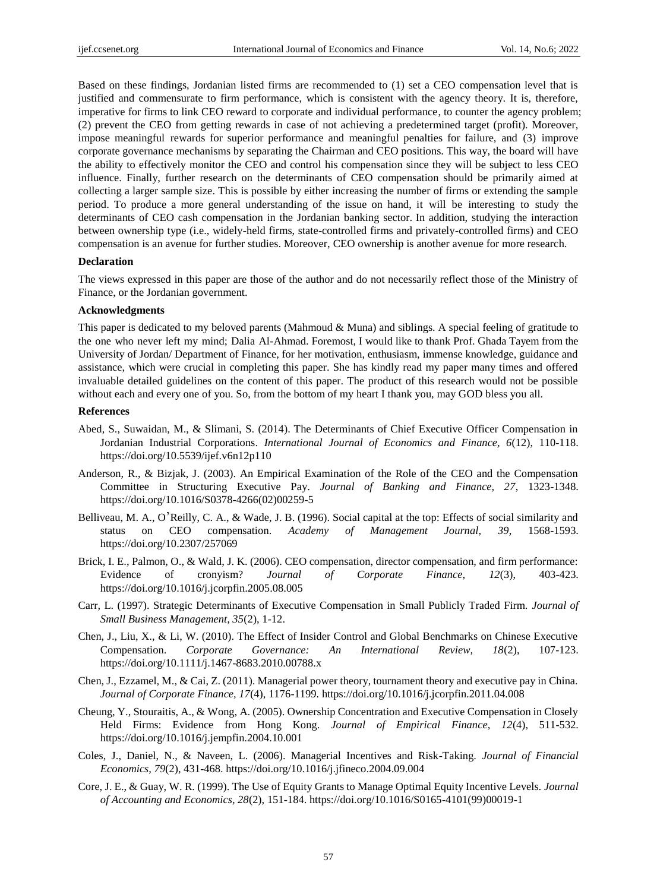Based on these findings, Jordanian listed firms are recommended to (1) set a CEO compensation level that is justified and commensurate to firm performance, which is consistent with the agency theory. It is, therefore, imperative for firms to link CEO reward to corporate and individual performance, to counter the agency problem; (2) prevent the CEO from getting rewards in case of not achieving a predetermined target (profit). Moreover, impose meaningful rewards for superior performance and meaningful penalties for failure, and (3) improve corporate governance mechanisms by separating the Chairman and CEO positions. This way, the board will have the ability to effectively monitor the CEO and control his compensation since they will be subject to less CEO influence. Finally, further research on the determinants of CEO compensation should be primarily aimed at collecting a larger sample size. This is possible by either increasing the number of firms or extending the sample period. To produce a more general understanding of the issue on hand, it will be interesting to study the determinants of CEO cash compensation in the Jordanian banking sector. In addition, studying the interaction between ownership type (i.e., widely-held firms, state-controlled firms and privately-controlled firms) and CEO compensation is an avenue for further studies. Moreover, CEO ownership is another avenue for more research.

#### **Declaration**

The views expressed in this paper are those of the author and do not necessarily reflect those of the Ministry of Finance, or the Jordanian government.

#### **Acknowledgments**

This paper is dedicated to my beloved parents (Mahmoud & Muna) and siblings. A special feeling of gratitude to the one who never left my mind; Dalia Al-Ahmad. Foremost, I would like to thank Prof. Ghada Tayem from the University of Jordan/ Department of Finance, for her motivation, enthusiasm, immense knowledge, guidance and assistance, which were crucial in completing this paper. She has kindly read my paper many times and offered invaluable detailed guidelines on the content of this paper. The product of this research would not be possible without each and every one of you. So, from the bottom of my heart I thank you, may GOD bless you all.

#### **References**

- Abed, S., Suwaidan, M., & Slimani, S. (2014). The Determinants of Chief Executive Officer Compensation in Jordanian Industrial Corporations. *International Journal of Economics and Finance, 6*(12), 110-118. https://doi.org/10.5539/ijef.v6n12p110
- Anderson, R., & Bizjak, J. (2003). An Empirical Examination of the Role of the CEO and the Compensation Committee in Structuring Executive Pay. *Journal of Banking and Finance, 27*, 1323-1348. https://doi.org/10.1016/S0378-4266(02)00259-5
- Belliveau, M. A., O'Reilly, C. A., & Wade, J. B. (1996). Social capital at the top: Effects of social similarity and status on CEO compensation. *Academy of Management Journal, 39*, 1568-1593. https://doi.org/10.2307/257069
- Brick, I. E., Palmon, O., & Wald, J. K. (2006). CEO compensation, director compensation, and firm performance: Evidence of cronyism? *Journal of Corporate Finance, 12*(3), 403-423. https://doi.org/10.1016/j.jcorpfin.2005.08.005
- Carr, L. (1997). Strategic Determinants of Executive Compensation in Small Publicly Traded Firm. *Journal of Small Business Management, 35*(2), 1-12.
- Chen, J., Liu, X., & Li, W. (2010). The Effect of Insider Control and Global Benchmarks on Chinese Executive Compensation. *Corporate Governance: An International Review, 18*(2), 107-123. https://doi.org/10.1111/j.1467-8683.2010.00788.x
- Chen, J., Ezzamel, M., & Cai, Z. (2011). Managerial power theory, tournament theory and executive pay in China. *Journal of Corporate Finance, 17*(4), 1176-1199. https://doi.org/10.1016/j.jcorpfin.2011.04.008
- Cheung, Y., Stouraitis, A., & Wong, A. (2005). Ownership Concentration and Executive Compensation in Closely Held Firms: Evidence from Hong Kong. *Journal of Empirical Finance, 12*(4), 511-532. https://doi.org/10.1016/j.jempfin.2004.10.001
- Coles, J., Daniel, N., & Naveen, L. (2006). Managerial Incentives and Risk-Taking. *Journal of Financial Economics, 79*(2), 431-468. https://doi.org/10.1016/j.jfineco.2004.09.004
- Core, J. E., & Guay, W. R. (1999). The Use of Equity Grants to Manage Optimal Equity Incentive Levels. *Journal of Accounting and Economics, 28*(2), 151-184. https://doi.org/10.1016/S0165-4101(99)00019-1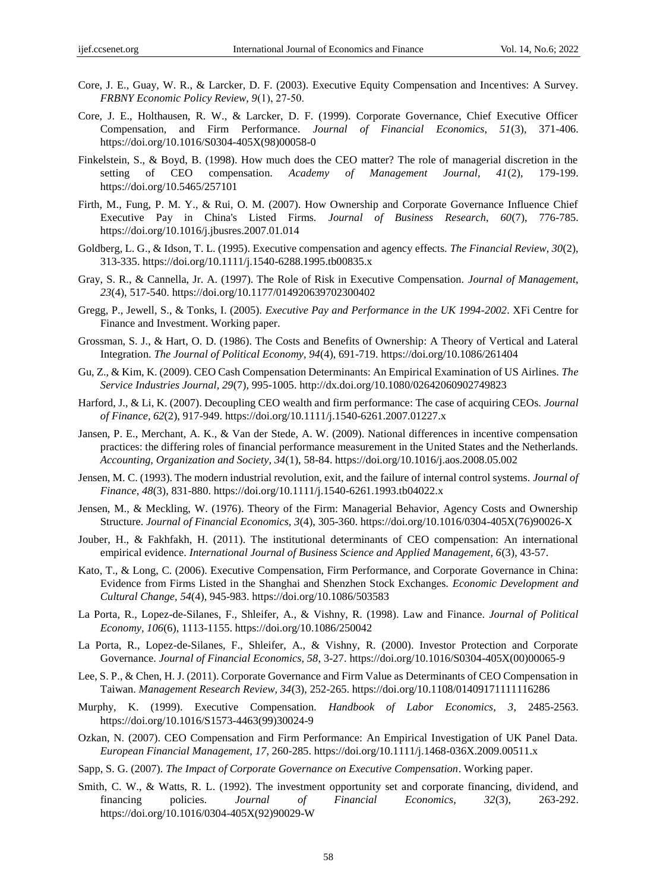- Core, J. E., Guay, W. R., & Larcker, D. F. (2003). Executive Equity Compensation and Incentives: A Survey. *FRBNY Economic Policy Review, 9*(1), 27‐50.
- Core, J. E., Holthausen, R. W., & Larcker, D. F. (1999). Corporate Governance, Chief Executive Officer Compensation, and Firm Performance. *Journal of Financial Economics, 51*(3), 371-406. https://doi.org/10.1016/S0304-405X(98)00058-0
- Finkelstein, S., & Boyd, B. (1998). How much does the CEO matter? The role of managerial discretion in the setting of CEO compensation. *Academy of Management Journal, 41*(2), 179-199. https://doi.org/10.5465/257101
- Firth, M., Fung, P. M. Y., & Rui, O. M. (2007). How Ownership and Corporate Governance Influence Chief Executive Pay in China's Listed Firms. *Journal of Business Research, 60*(7), 776-785. https://doi.org/10.1016/j.jbusres.2007.01.014
- Goldberg, L. G., & Idson, T. L. (1995). Executive compensation and agency effects. *The Financial Review, 30*(2), 313-335. https://doi.org/10.1111/j.1540-6288.1995.tb00835.x
- Gray, S. R., & Cannella, Jr. A. (1997). The Role of Risk in Executive Compensation. *Journal of Management, 23*(4), 517-540. https://doi.org/10.1177/014920639702300402
- Gregg, P., Jewell, S., & Tonks, I. (2005). *Executive Pay and Performance in the UK 1994-2002*. XFi Centre for Finance and Investment. Working paper.
- Grossman, S. J., & Hart, O. D. (1986). The Costs and Benefits of Ownership: A Theory of Vertical and Lateral Integration. *The Journal of Political Economy, 94*(4), 691-719. https://doi.org/10.1086/261404
- Gu, Z., & Kim, K. (2009). CEO Cash Compensation Determinants: An Empirical Examination of US Airlines. *The Service Industries Journal, 29*(7), 995-1005. http://dx.doi.org/10.1080/02642060902749823
- Harford, J., & Li, K. (2007). Decoupling CEO wealth and firm performance: The case of acquiring CEOs. *Journal of Finance, 62*(2), 917-949. https://doi.org/10.1111/j.1540-6261.2007.01227.x
- Jansen, P. E., Merchant, A. K., & Van der Stede, A. W. (2009). National differences in incentive compensation practices: the differing roles of financial performance measurement in the United States and the Netherlands. *Accounting, Organization and Society, 34*(1), 58-84. https://doi.org/10.1016/j.aos.2008.05.002
- Jensen, M. C. (1993). The modern industrial revolution, exit, and the failure of internal control systems. *Journal of Finance, 48*(3), 831*-*880. https://doi.org/10.1111/j.1540-6261.1993.tb04022.x
- Jensen, M., & Meckling, W. (1976). Theory of the Firm: Managerial Behavior, Agency Costs and Ownership Structure. *Journal of Financial Economics, 3*(4), 305-360. https://doi.org/10.1016/0304-405X(76)90026-X
- Jouber, H., & Fakhfakh, H. (2011). The institutional determinants of CEO compensation: An international empirical evidence. *International Journal of Business Science and Applied Management, 6*(3), 43-57.
- Kato, T., & Long, C. (2006). Executive Compensation, Firm Performance, and Corporate Governance in China: Evidence from Firms Listed in the Shanghai and Shenzhen Stock Exchanges. *Economic Development and Cultural Change, 54*(4), 945-983. https://doi.org/10.1086/503583
- La Porta, R., Lopez-de-Silanes, F., Shleifer, A., & Vishny, R. (1998). Law and Finance. *Journal of Political Economy, 106*(6), 1113-1155. https://doi.org/10.1086/250042
- La Porta, R., Lopez-de-Silanes, F., Shleifer, A., & Vishny, R. (2000). Investor Protection and Corporate Governance. *Journal of Financial Economics, 58*, 3-27. https://doi.org/10.1016/S0304-405X(00)00065-9
- Lee, S. P., & Chen, H. J. (2011). Corporate Governance and Firm Value as Determinants of CEO Compensation in Taiwan. *Management Research Review, 34*(3), 252-265. https://doi.org/10.1108/01409171111116286
- Murphy, K. (1999). Executive Compensation. *Handbook of Labor Economics, 3*, 2485-2563. https://doi.org/10.1016/S1573-4463(99)30024-9
- Ozkan, N. (2007). CEO Compensation and Firm Performance: An Empirical Investigation of UK Panel Data. *European Financial Management, 17*, 260-285. https://doi.org/10.1111/j.1468-036X.2009.00511.x
- Sapp, S. G. (2007). *The Impact of Corporate Governance on Executive Compensation*. Working paper.
- Smith, C. W., & Watts, R. L. (1992). The investment opportunity set and corporate financing, dividend, and financing policies. *Journal of Financial Economics, 32*(3), 263-292. https://doi.org/10.1016/0304-405X(92)90029-W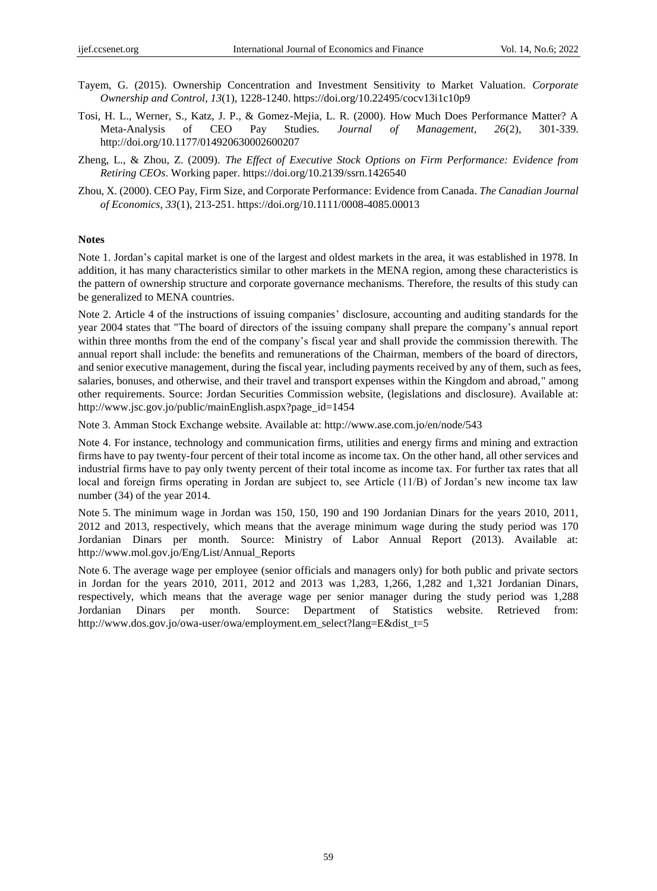- Tayem, G. (2015). Ownership Concentration and Investment Sensitivity to Market Valuation. *Corporate Ownership and Control, 13*(1), 1228-1240. https://doi.org/10.22495/cocv13i1c10p9
- Tosi, H. L., Werner, S., Katz, J. P., & Gomez-Mejia, L. R. (2000). How Much Does Performance Matter? A Meta-Analysis of CEO Pay Studies. *Journal of Management, 26*(2), 301-339. http://doi.org/10.1177/014920630002600207
- Zheng, L., & Zhou, Z. (2009). *The Effect of Executive Stock Options on Firm Performance: Evidence from Retiring CEOs*. Working paper. https://doi.org/10.2139/ssrn.1426540
- Zhou, X. (2000). CEO Pay, Firm Size, and Corporate Performance: Evidence from Canada. *The Canadian Journal of Economics, 33*(1), 213-251. https://doi.org/10.1111/0008-4085.00013

#### **Notes**

Note 1. Jordan's capital market is one of the largest and oldest markets in the area, it was established in 1978. In addition, it has many characteristics similar to other markets in the MENA region, among these characteristics is the pattern of ownership structure and corporate governance mechanisms. Therefore, the results of this study can be generalized to MENA countries.

Note 2. Article 4 of the instructions of issuing companies' disclosure, accounting and auditing standards for the year 2004 states that "The board of directors of the issuing company shall prepare the company's annual report within three months from the end of the company's fiscal year and shall provide the commission therewith. The annual report shall include: the benefits and remunerations of the Chairman, members of the board of directors, and senior executive management, during the fiscal year, including payments received by any of them, such as fees, salaries, bonuses, and otherwise, and their travel and transport expenses within the Kingdom and abroad," among other requirements. Source: Jordan Securities Commission website, (legislations and disclosure). Available at: http://www.jsc.gov.jo/public/mainEnglish.aspx?page\_id=1454

Note 3. Amman Stock Exchange website. Available at:<http://www.ase.com.jo/en/node/543>

Note 4. For instance, technology and communication firms, utilities and energy firms and mining and extraction firms have to pay twenty-four percent of their total income as income tax. On the other hand, all other services and industrial firms have to pay only twenty percent of their total income as income tax. For further tax rates that all local and foreign firms operating in Jordan are subject to, see Article (11/B) of Jordan's new income tax law number (34) of the year 2014.

Note 5. The minimum wage in Jordan was 150, 150, 190 and 190 Jordanian Dinars for the years 2010, 2011, 2012 and 2013, respectively, which means that the average minimum wage during the study period was 170 Jordanian Dinars per month. Source: Ministry of Labor Annual Report (2013). Available at: http://www.mol.gov.jo/Eng/List/Annual\_Reports

Note 6. The average wage per employee (senior officials and managers only) for both public and private sectors in Jordan for the years 2010, 2011, 2012 and 2013 was 1,283, 1,266, 1,282 and 1,321 Jordanian Dinars, respectively, which means that the average wage per senior manager during the study period was 1,288 Jordanian Dinars per month. Source: Department of Statistics website. Retrieved from: http://www.dos.gov.jo/owa-user/owa/employment.em\_select?lang=E&dist\_t=5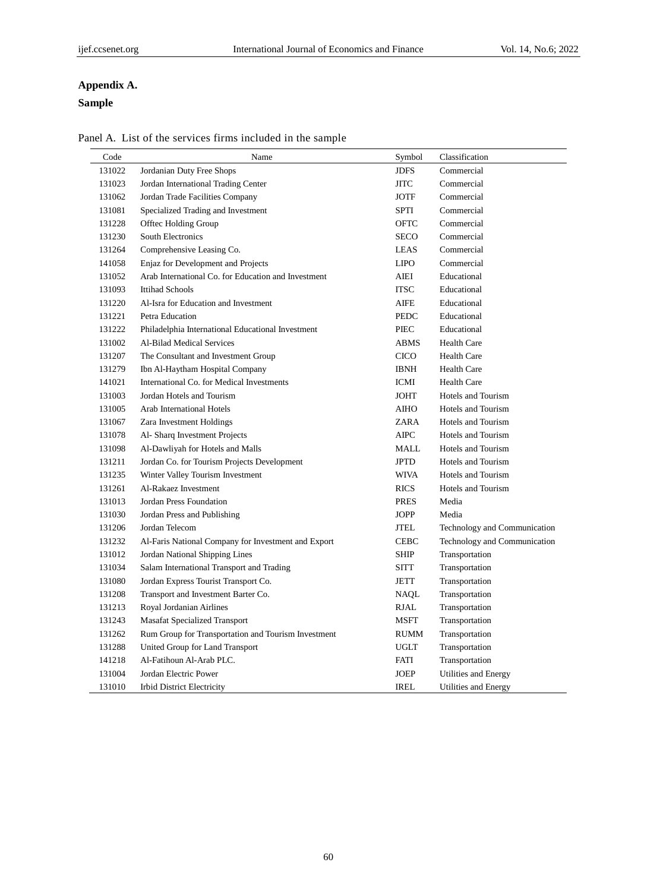# **Appendix A.**

# **Sample**

| Code   | Name                                                | Symbol      | Classification               |
|--------|-----------------------------------------------------|-------------|------------------------------|
| 131022 | Jordanian Duty Free Shops                           | <b>JDFS</b> | Commercial                   |
| 131023 | Jordan International Trading Center                 | <b>JITC</b> | Commercial                   |
| 131062 | Jordan Trade Facilities Company                     | <b>JOTF</b> | Commercial                   |
| 131081 | Specialized Trading and Investment                  | SPTI        | Commercial                   |
| 131228 | Offtec Holding Group                                | <b>OFTC</b> | Commercial                   |
| 131230 | South Electronics                                   | <b>SECO</b> | Commercial                   |
| 131264 | Comprehensive Leasing Co.                           | <b>LEAS</b> | Commercial                   |
| 141058 | Enjaz for Development and Projects                  | <b>LIPO</b> | Commercial                   |
| 131052 | Arab International Co. for Education and Investment | <b>AIEI</b> | Educational                  |
| 131093 | <b>Ittihad Schools</b>                              | <b>ITSC</b> | Educational                  |
| 131220 | Al-Isra for Education and Investment                | AIFE        | Educational                  |
| 131221 | Petra Education                                     | <b>PEDC</b> | Educational                  |
| 131222 | Philadelphia International Educational Investment   | PIEC        | Educational                  |
| 131002 | Al-Bilad Medical Services                           | <b>ABMS</b> | <b>Health Care</b>           |
| 131207 | The Consultant and Investment Group                 | <b>CICO</b> | <b>Health Care</b>           |
| 131279 | Ibn Al-Haytham Hospital Company                     | <b>IBNH</b> | <b>Health Care</b>           |
| 141021 | International Co. for Medical Investments           | ICMI        | <b>Health Care</b>           |
| 131003 | Jordan Hotels and Tourism                           | <b>JOHT</b> | Hotels and Tourism           |
| 131005 | Arab International Hotels                           | <b>AIHO</b> | Hotels and Tourism           |
| 131067 | Zara Investment Holdings                            | ZARA        | Hotels and Tourism           |
| 131078 | Al- Sharq Investment Projects                       | <b>AIPC</b> | Hotels and Tourism           |
| 131098 | Al-Dawliyah for Hotels and Malls                    | MALL        | Hotels and Tourism           |
| 131211 | Jordan Co. for Tourism Projects Development         | <b>JPTD</b> | Hotels and Tourism           |
| 131235 | Winter Valley Tourism Investment                    | <b>WIVA</b> | Hotels and Tourism           |
| 131261 | Al-Rakaez Investment                                | <b>RICS</b> | Hotels and Tourism           |
| 131013 | Jordan Press Foundation                             | <b>PRES</b> | Media                        |
| 131030 | Jordan Press and Publishing                         | <b>JOPP</b> | Media                        |
| 131206 | Jordan Telecom                                      | JTEL        | Technology and Communication |
| 131232 | Al-Faris National Company for Investment and Export | <b>CEBC</b> | Technology and Communication |
| 131012 | Jordan National Shipping Lines                      | <b>SHIP</b> | Transportation               |
| 131034 | Salam International Transport and Trading           | <b>SITT</b> | Transportation               |
| 131080 | Jordan Express Tourist Transport Co.                | JETT        | Transportation               |
| 131208 | Transport and Investment Barter Co.                 | NAQL        | Transportation               |
| 131213 | Royal Jordanian Airlines                            | RJAL        | Transportation               |
| 131243 | <b>Masafat Specialized Transport</b>                | <b>MSFT</b> | Transportation               |
| 131262 | Rum Group for Transportation and Tourism Investment | <b>RUMM</b> | Transportation               |
| 131288 | United Group for Land Transport                     | UGLT        | Transportation               |
| 141218 | Al-Fatihoun Al-Arab PLC.                            | FATI        | Transportation               |
| 131004 | Jordan Electric Power                               | <b>JOEP</b> | Utilities and Energy         |
| 131010 | <b>Irbid District Electricity</b>                   | <b>IREL</b> | Utilities and Energy         |

Panel A. List of the services firms included in the sample